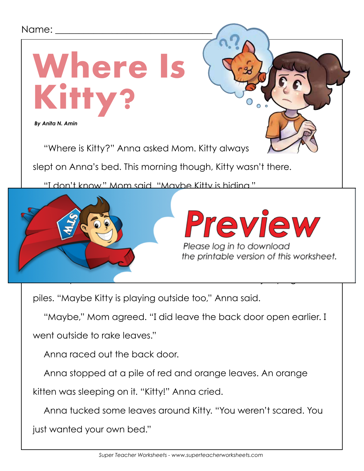## Name:



piles. "Maybe Kitty is playing outside too," Anna said.

"Maybe," Mom agreed. "I did leave the back door open earlier. I

went outside to rake leaves."

Anna raced out the back door.

Anna stopped at a pile of red and orange leaves. An orange

kitten was sleeping on it. "Kitty!" Anna cried.

Anna tucked some leaves around Kitty. "You weren't scared. You

just wanted your own bed."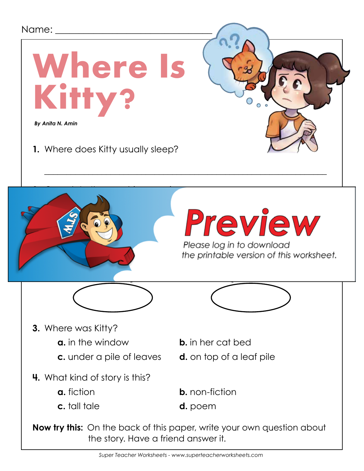

*Super Teacher Worksheets - www.superteacherworksheets.com*